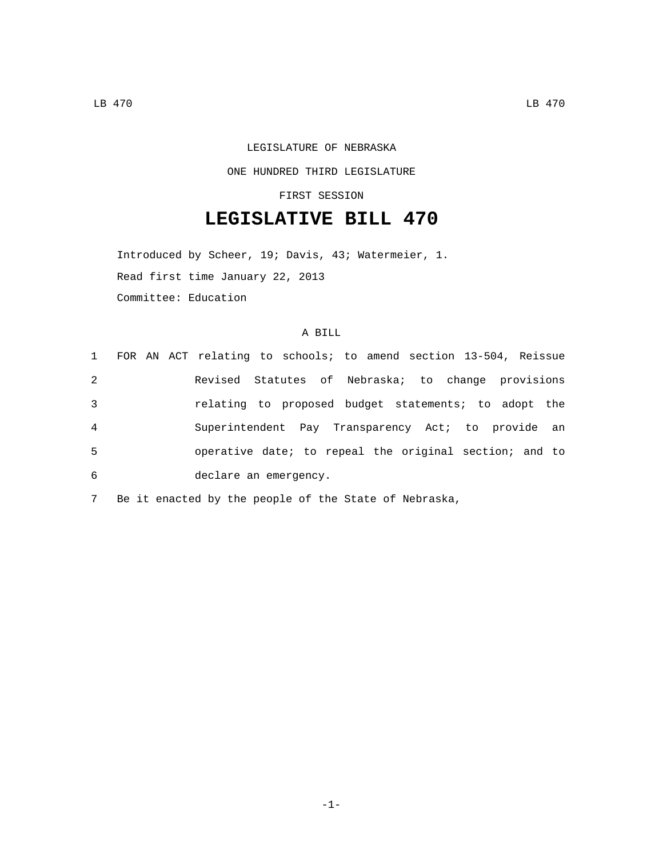# LEGISLATURE OF NEBRASKA

### ONE HUNDRED THIRD LEGISLATURE

#### FIRST SESSION

## **LEGISLATIVE BILL 470**

Introduced by Scheer, 19; Davis, 43; Watermeier, 1. Read first time January 22, 2013 Committee: Education

#### A BILL

|                |  | 1 FOR AN ACT relating to schools; to amend section 13-504, Reissue |
|----------------|--|--------------------------------------------------------------------|
| 2              |  | Revised Statutes of Nebraska; to change provisions                 |
| 3              |  | relating to proposed budget statements; to adopt the               |
| $\overline{4}$ |  | Superintendent Pay Transparency Act; to provide an                 |
| 5              |  | operative date; to repeal the original section; and to             |
| 6              |  | declare an emergency.                                              |

7 Be it enacted by the people of the State of Nebraska,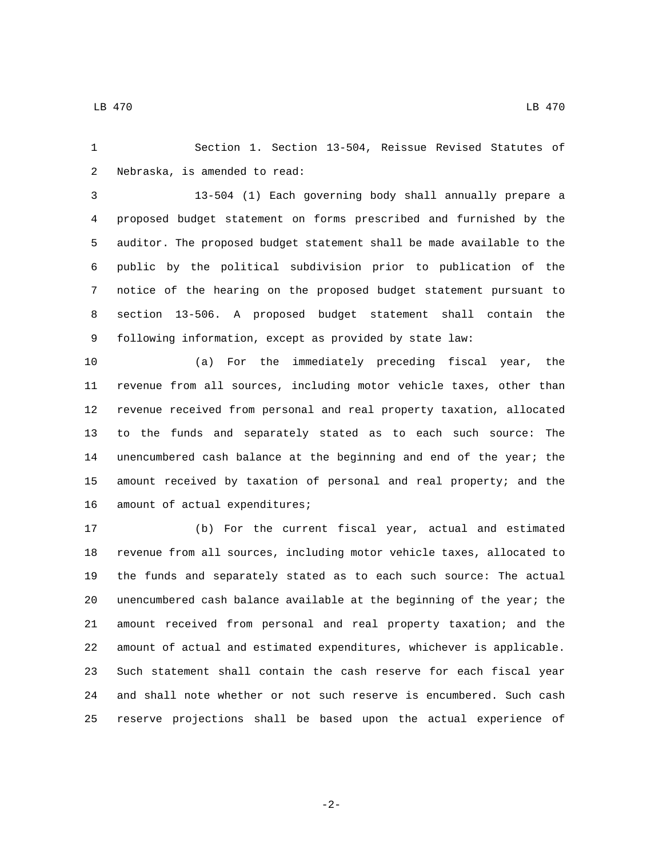LB 470 LB 470

 Section 1. Section 13-504, Reissue Revised Statutes of 2 Nebraska, is amended to read:

 13-504 (1) Each governing body shall annually prepare a proposed budget statement on forms prescribed and furnished by the auditor. The proposed budget statement shall be made available to the public by the political subdivision prior to publication of the notice of the hearing on the proposed budget statement pursuant to section 13-506. A proposed budget statement shall contain the following information, except as provided by state law:

 (a) For the immediately preceding fiscal year, the revenue from all sources, including motor vehicle taxes, other than revenue received from personal and real property taxation, allocated to the funds and separately stated as to each such source: The unencumbered cash balance at the beginning and end of the year; the amount received by taxation of personal and real property; and the 16 amount of actual expenditures;

 (b) For the current fiscal year, actual and estimated revenue from all sources, including motor vehicle taxes, allocated to the funds and separately stated as to each such source: The actual unencumbered cash balance available at the beginning of the year; the amount received from personal and real property taxation; and the amount of actual and estimated expenditures, whichever is applicable. Such statement shall contain the cash reserve for each fiscal year and shall note whether or not such reserve is encumbered. Such cash reserve projections shall be based upon the actual experience of

-2-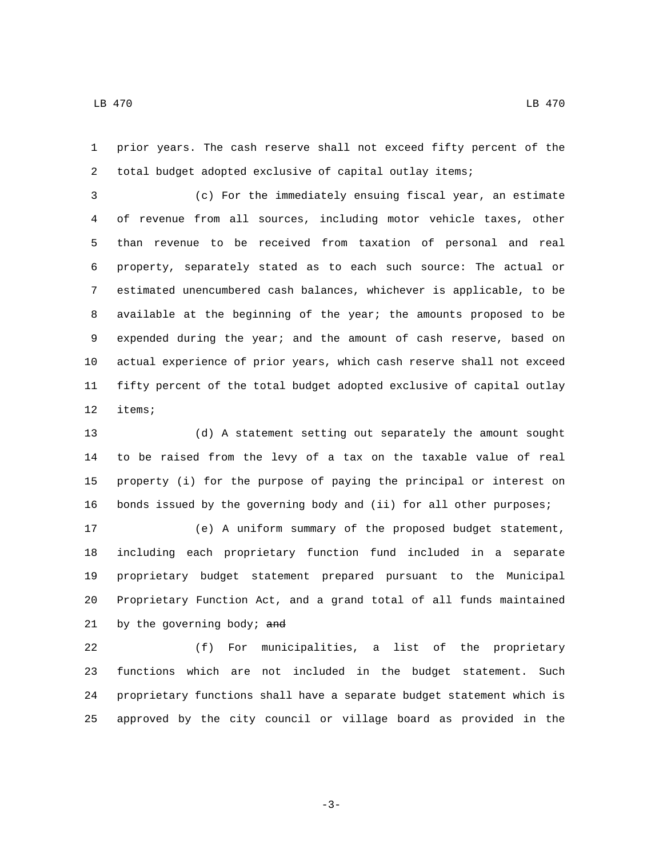prior years. The cash reserve shall not exceed fifty percent of the total budget adopted exclusive of capital outlay items;

 (c) For the immediately ensuing fiscal year, an estimate of revenue from all sources, including motor vehicle taxes, other than revenue to be received from taxation of personal and real property, separately stated as to each such source: The actual or estimated unencumbered cash balances, whichever is applicable, to be available at the beginning of the year; the amounts proposed to be expended during the year; and the amount of cash reserve, based on actual experience of prior years, which cash reserve shall not exceed fifty percent of the total budget adopted exclusive of capital outlay 12 items;

 (d) A statement setting out separately the amount sought to be raised from the levy of a tax on the taxable value of real property (i) for the purpose of paying the principal or interest on bonds issued by the governing body and (ii) for all other purposes;

 (e) A uniform summary of the proposed budget statement, including each proprietary function fund included in a separate proprietary budget statement prepared pursuant to the Municipal Proprietary Function Act, and a grand total of all funds maintained 21 by the governing body; and

 (f) For municipalities, a list of the proprietary functions which are not included in the budget statement. Such proprietary functions shall have a separate budget statement which is approved by the city council or village board as provided in the

-3-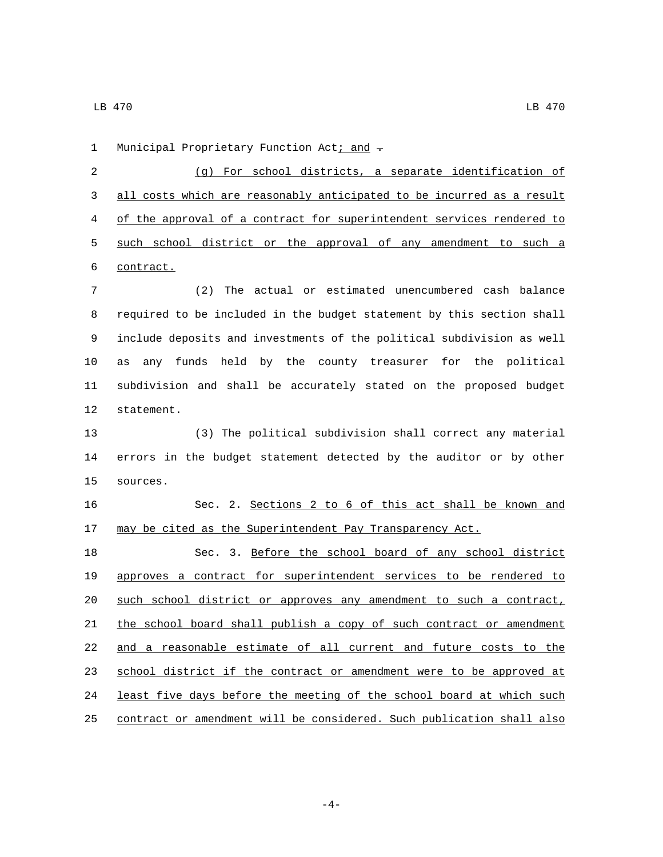1 Municipal Proprietary Function Act; and  $\tau$ 

 (g) For school districts, a separate identification of all costs which are reasonably anticipated to be incurred as a result of the approval of a contract for superintendent services rendered to such school district or the approval of any amendment to such a 6 contract.

 (2) The actual or estimated unencumbered cash balance required to be included in the budget statement by this section shall include deposits and investments of the political subdivision as well as any funds held by the county treasurer for the political subdivision and shall be accurately stated on the proposed budget 12 statement.

 (3) The political subdivision shall correct any material errors in the budget statement detected by the auditor or by other sources.15

 Sec. 2. Sections 2 to 6 of this act shall be known and 17 may be cited as the Superintendent Pay Transparency Act.

 Sec. 3. Before the school board of any school district approves a contract for superintendent services to be rendered to 20 such school district or approves any amendment to such a contract, 21 the school board shall publish a copy of such contract or amendment and a reasonable estimate of all current and future costs to the 23 school district if the contract or amendment were to be approved at least five days before the meeting of the school board at which such contract or amendment will be considered. Such publication shall also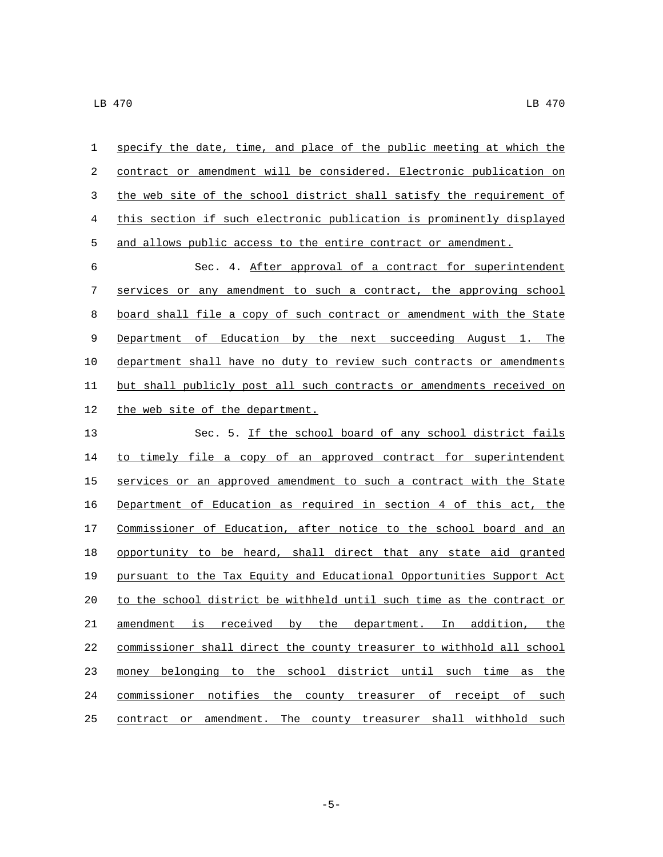| $\mathbf{1}$ | specify the date, time, and place of the public meeting at which the  |
|--------------|-----------------------------------------------------------------------|
| 2            | contract or amendment will be considered. Electronic publication on   |
| 3            | the web site of the school district shall satisfy the requirement of  |
| 4            | this section if such electronic publication is prominently displayed  |
| 5            | and allows public access to the entire contract or amendment.         |
| 6            | Sec. 4. After approval of a contract for superintendent               |
| 7            | services or any amendment to such a contract, the approving school    |
| 8            | board shall file a copy of such contract or amendment with the State  |
| 9            | Department of Education by the next succeeding August 1. The          |
| 10           | department shall have no duty to review such contracts or amendments  |
| 11           | but shall publicly post all such contracts or amendments received on  |
| 12           | the web site of the department.                                       |
| 13           | Sec. 5. If the school board of any school district fails              |
| 14           | to timely file a copy of an approved contract for superintendent      |
| 15           | services or an approved amendment to such a contract with the State   |
| 16           | Department of Education as required in section 4 of this act, the     |
| 17           | Commissioner of Education, after notice to the school board and an    |
| 18           | opportunity to be heard, shall direct that any state aid granted      |
| 19           | pursuant to the Tax Equity and Educational Opportunities Support Act  |
| 20           | to the school district be withheld until such time as the contract or |
| $21\,$       | amendment is received by the department. In addition, the             |
| 22           | commissioner shall direct the county treasurer to withhold all school |
| 23           | money belonging to the school district until such time as the         |
| 24           | commissioner notifies the county treasurer of receipt of such         |
| 25           | contract or amendment. The county treasurer shall withhold such       |